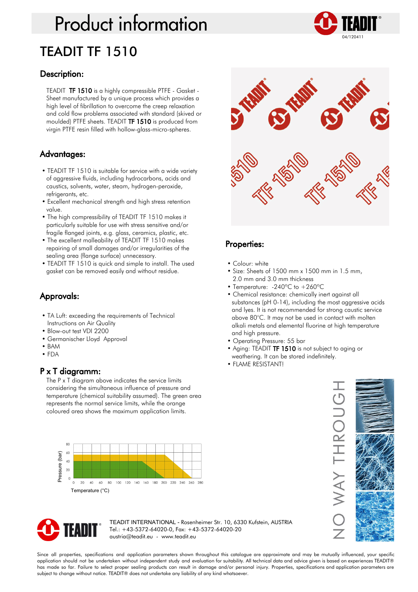# **Product information** TEADIT TF 1510



#### Description:

TEADIT TF 1510 is a highly compressible PTFE - Gasket - Sheet manufactured by a unique process which provides a high level of fibrillation to overcome the creep relaxation and cold flow problems associated with standard (skived or moulded) PTFE sheets. TEADIT TF 1510 is produced from virgin PTFE resin filled with hollow-glass-micro-spheres.

## Advantages:

- TEADIT TF 1510 is suitable for service with a wide variety of aggressive fluids, including hydrocarbons, acids and caustics, solvents, water, steam, hydrogen-peroxide, refrigerants, etc.
- Excellent mechanical strength and high stress retention value.
- The high compressibility of TEADIT TF 1510 makes it particularly suitable for use with stress sensitive and/or fragile flanged joints, e.g. glass, ceramics, plastic, etc.
- The excellent malleability of TEADIT TF 1510 makes repairing of small damages and/or irregularities of the sealing area (flange surface) unnecessary.
- TEADIT TF 1510 is quick and simple to install. The used gasket can be removed easily and without residue.

# Approvals:

- TA Luft: exceeding the requirements of Technical Instructions on Air Quality
- Blow-out test VDI 2200
- Germanischer Lloyd Approval
- BAM
- FDA

## P x T diagramm:

The P x T diagram above indicates the service limits considering the simultaneous influence of pressure and temperature (chemical suitability assumed). The green area represents the normal service limits, while the orange coloured area shows the maximum application limits.





## Properties:

- Colour: white
- Size: Sheets of 1500 mm x 1500 mm in 1.5 mm, 2.0 mm and 3.0 mm thickness
- Temperature: -240°C to +260°C
- Chemical resistance: chemically inert against all substances (pH 0-14), including the most aggressive acids and lyes. It is not recommended for strong caustic service above 80°C. It may not be used in contact with molten alkali metals and elemental fluorine at high temperature and high pressure.
- Operating Pressure: 55 bar
- Aging: TEADIT TF 1510 is not subject to aging or weathering. It can be stored indefinitely.
- FLAME RESISTANT!





TEADIT INTERNATIONAL - Rosenheimer Str. 10, 6330 Kufstein, AUSTRIA Tel.: +43-5372-64020-0, Fax: +43-5372-64020-20 austria@teadit.eu - www.teadit.eu

Since all properties, specifications and application parameters shown throughout this catalogue are approximate and may be mutually influenced, your specific application should not be undertaken without independent study and evaluation for suitability. All technical data and advice given is based on experiences TEADIT® has made so far. Failure to select proper sealing products can result in damage and/or personal injury. Properties, specifications and application parameters are subject to change without notice. TEADIT® does not undertake any liability of any kind whatsoever.